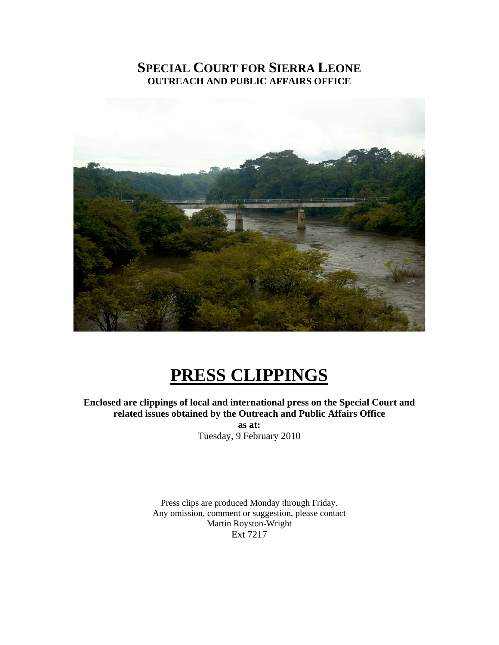## **SPECIAL COURT FOR SIERRA LEONE OUTREACH AND PUBLIC AFFAIRS OFFICE**



# **PRESS CLIPPINGS**

**Enclosed are clippings of local and international press on the Special Court and related issues obtained by the Outreach and Public Affairs Office** 

**as at:**  Tuesday, 9 February 2010

Press clips are produced Monday through Friday. Any omission, comment or suggestion, please contact Martin Royston-Wright Ext 7217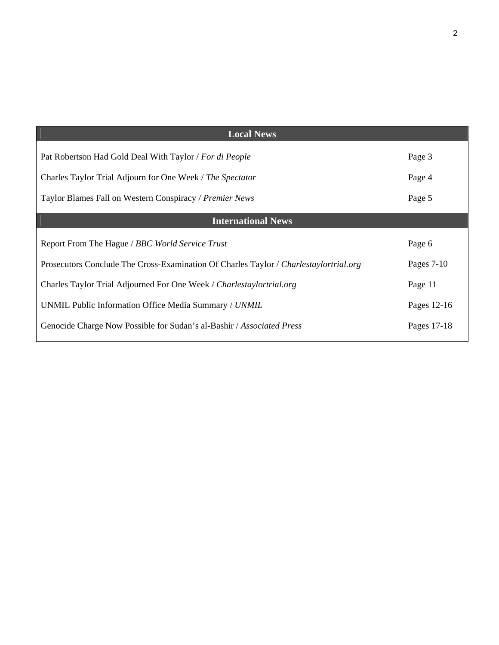| Page 3       |
|--------------|
| Page 4       |
| Page 5       |
|              |
| Page 6       |
| Pages $7-10$ |
| Page 11      |
| Pages 12-16  |
| Pages 17-18  |
|              |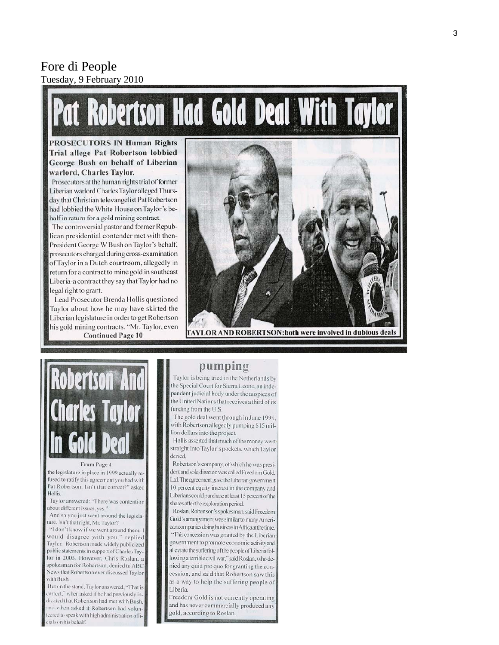## Fore di People

## Tuesday, 9 February 2010

# Pat Robertson Had Gold Deal With Taylor

#### **PROSECUTORS IN Human Rights** Trial allege Pat Robertson lobbied George Bush on behalf of Liberian warlord, Charles Taylor.

Prosecutors at the human rights trial of former Liberian warlord Charles Taylor alleged Thursday that Christian televangelist Pat Robertson had lobbied the White House on Taylor's behalf in return for a gold mining contract.

The controversial pastor and former Republican presidential contender met with then-President George W Bush on Taylor's behalf, prosecutors charged during cross-examination of Taylor in a Dutch courtroom, allegedly in return for a contract to mine gold in southeast Liberia-a contract they say that Taylor had no legal right to grant.

Lead Prosecutor Brenda Hollis questioned Taylor about how he may have skirted the Liberian legislature in order to get Robertson his gold mining contracts. "Mr. Taylor, even **Continued Page 10** 



![](_page_2_Picture_8.jpeg)

#### From Page 4

the legislature in place in 1999 actually refused to ratify this agreement you had with Pat Robertson. Isn't that correct?" asked **Hollis** 

Taylor answered: "There was contention about different issues, yes."

And so you just went around the legislature. Isn't that right, Mr. Taylor?

"I don't know if we went around them. I would disagree with you," replied Taylor. Robertson made widely publicized public statements in support of Charles Taylor in 2003. However, Chris Roslan, a spokesman for Robertson, denied to ABC News that Robertson ever discussed Taylor with Bush.

But on the stand, Taylor answered, "That is correct." when asked if he had previously indicated that Robertson had met with Bush. and when asked if Robertson had voluncered to speak with high administration officials on his behalf.

## pumping

Taylor is being tried in the Netherlands by the Special Court for Sierra Leone, an independent judicial body under the auspices of the United Nations that receives a third of its funding from the U.S.

The gold deal went through in June 1999, with Robertson allegedly pumping \$15 million dollars into the project.

Hollis asserted that much of the money wentstraight into Taylor's pockets, which Taylor denied.

Robertson's company, of which he was president and sole director, was called Freedom Gold, Ltd. The agreement gave the Liberian government 10 percent equity interest in the company and Liberians could purchase at least 15 percent of the shares after the exploration period.

Roslan, Robertson's spokesman, said Freedom Gold's arrangement was similar to many American companies doing business in Africa at the time. "This concession was granted by the Liberian government to promote economic activity and alleviate the suffering of the people of Liberia following a terrible civil war," said Roslan, who denied any quid pro quo for granting the concession, and said that Robertson saw this as a way to help the suffering people of Liberia.

Freedom Gold is not currently operating and has never commercially produced any gold, according to Roslan.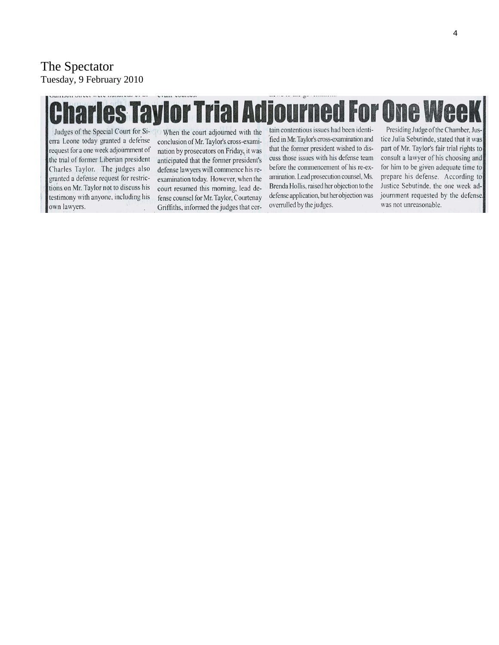## The Spectator Tuesday, 9 February 2010

# les Taylor Trial Adjourned For One Wee

Judges of the Special Court for Sierra Leone today granted a defense request for a one week adjournment of the trial of former Liberian president Charles Taylor. The judges also granted a defense request for restrictions on Mr. Taylor not to discuss his testimony with anyone, including his own lawyers.

When the court adjourned with the conclusion of Mr. Taylor's cross-examination by prosecutors on Friday, it was anticipated that the former president's defense lawyers will commence his reexamination today. However, when the court resumed this morning, lead defense counsel for Mr. Taylor, Courtenay Griffiths, informed the judges that certain contentious issues had been identified in Mr. Taylor's cross-examination and that the former president wished to discuss those issues with his defense team before the commencement of his re-examination. Lead prosecution counsel, Ms. Brenda Hollis, raised her objection to the defense application, but her objection was overrulled by the judges.

Presiding Judge of the Chamber, Justice Julia Sebutinde, stated that it was part of Mr. Taylor's fair trial rights to consult a lawyer of his choosing and for him to be given adequate time to prepare his defense. According to Justice Sebutinde, the one week adjournment requested by the defense. was not unreasonable.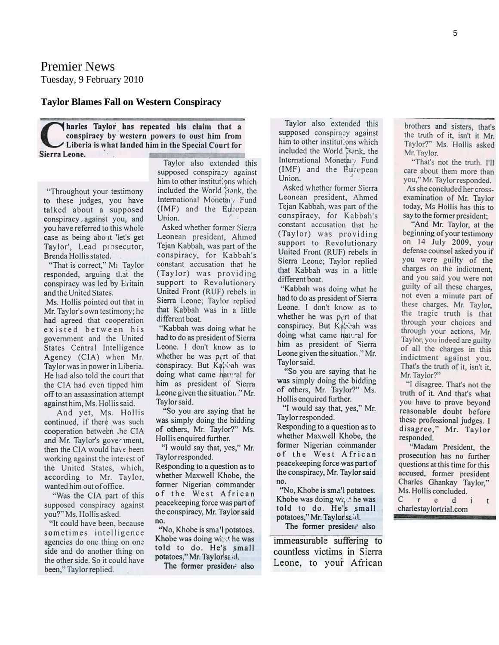## Premier News Tuesday, 9 February 2010

#### **Taylor Blames Fall on Western Conspiracy**

harles Taylor has repeated his claim that a conspiracy by western powers to oust him from Liberia is what landed him in the Special Court for Sierra Leone.

"Throughout your testimony" to these judges, you have talked about a supposed conspiracy, against you, and you have referred to this whole case as being about 'let's get Taylor', Lead prosecutor, Brenda Hollis stated.

"That is correct," M<sub>1</sub> Taylor responded, arguing tl.at the conspiracy was led by Eritain and the United States.

Ms. Hollis pointed out that in Mr. Taylor's own testimony; he had agreed that cooperation existed between his government and the United States Central Intelligence Agency (CIA) when Mr. Taylor was in power in Liberia. He had also told the court that the CIA had even tipped him off to an assassination attempt against him, Ms. Hollis said.

And yet, Ms. Hollis continued, if there was such cooperation between the CIA and Mr. Taylor's government, then the CIA would have been working against the interest of the United States, which, according to Mr. Taylor, wanted him out of office.

"Was the CIA part of this supposed conspiracy against you?" Ms. Hollis asked.

"It could have been, because sometimes intelligence agencies do one thing on one side and do another thing on the other side. So it could have been," Taylor replied.

Taylor also extended this supposed conspiracy against him to other institutions which included the World Bank, the International Monetar / Fund (IMF) and the European Union.

Asked whether former Sierra Leonean president, Ahmed Tejan Kabbah, was part of the conspiracy, for Kabbah's constant accusation that he (Taylor) was providing support to Revolutionary United Front (RUF) rebels in Sierra Leone; Taylor replied that Kabbah was in a little different boat.

"Kabbah was doing what he had to do as president of Sierra Leone. I don't know as to whether he was pyrt of that conspiracy. But Ka's cah was doing what came hat al for him as president of Sierra Leone given the situation." Mr. Taylor said.

"So you are saying that he was simply doing the bidding of others, Mr. Taylor?" Ms. Hollis enquired further.

"I would say that, yes," Mr. Taylor responded.

Responding to a question as to whether Maxwell Khobe, the former Nigerian commander of the West African peace keeping force was part of the conspiracy, Mr. Taylor said no.

"No, Khobe is sma'l potatoes. Khobe was doing wr, the was told to do. He's small potatoes," Mr. Taylor said.

The former president also

Taylor also extended this supposed conspiracy against him to other institutions which included the World Bank, the International Monetary Fund (IMF) and the European Union.

Asked whether former Sierra Leonean president, Ahmed Tejan Kabbah, was part of the conspiracy, for Kabbah's constant accusation that he (Taylor) was providing support to Revolutionary United Front (RUF) rebels in Sierra Leone; Taylor replied that Kabbah was in a little different boat.

"Kabbah was doing what he had to do as president of Sierra Leone. I don't know as to whether he was pert of that conspiracy. But Ka's'cah was doing what came hatural for him as president of Sierra Leone given the situation." Mr. Taylor said.

"So you are saying that he was simply doing the bidding of others, Mr. Taylor?" Ms. Hollis enquired further.

"I would say that, yes," Mr. Taylor responded.

Responding to a question as to whether Maxwell Khobe, the former Nigerian commander of the West African peacekeeping force was part of the conspiracy, Mr. Taylor said no.

"No, Khobe is sma'l potatoes. Khobe was doing wr, the was told to do. He's small potatoes," Mr. Taylor said.

The former president also

immeasurable suffering to countless victims in Sierra Leone, to your African brothers and sisters, that's the truth of it, isn't it Mr. Taylor?" Ms. Hollis asked Mr. Taylor.

"That's not the truth. I'll care about them more than you," Mr. Taylor responded. As she concluded her crossexamination of Mr. Taylor today, Ms Hollis has this to say to the former president;

"And Mr. Taylor, at the beginning of your testimony on 14 July 2009, your defense counsel asked you if you were guilty of the charges on the indictment, and you said you were not guilty of all these charges, not even a minute part of these charges. Mr. Taylor, the tragic truth is that through your choices and through your actions, Mr. Taylor, you indeed are guilty of all the charges in this indictment against you. That's the truth of it, isn't it, Mr. Taylor?"

"I disagree. That's not the truth of it. And that's what you have to prove beyond reasonable doubt before these professional judges. I disagree," Mr. Taylor responded.

"Madam President, the prosecution has no further questions at this time for this accused, former president Charles Ghankay Taylor," Ms. Hollis concluded.

C r e d i t charlestaylortrial.com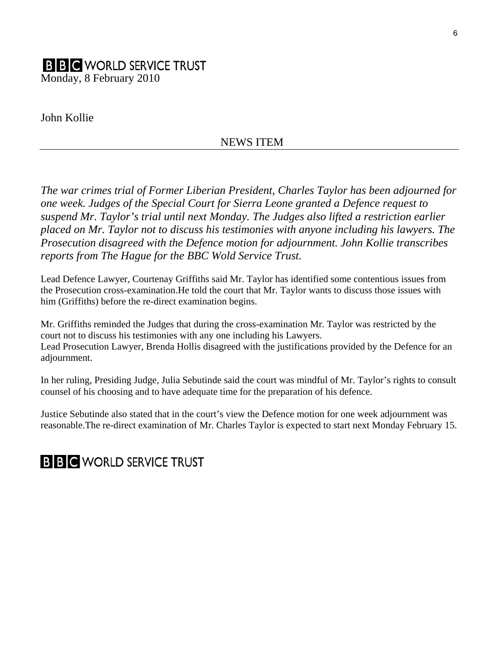## **B B C** WORLD SERVICE TRUST Monday, 8 February 2010

John Kollie

## NEWS ITEM

*The war crimes trial of Former Liberian President, Charles Taylor has been adjourned for one week. Judges of the Special Court for Sierra Leone granted a Defence request to suspend Mr. Taylor's trial until next Monday. The Judges also lifted a restriction earlier placed on Mr. Taylor not to discuss his testimonies with anyone including his lawyers. The Prosecution disagreed with the Defence motion for adjournment. John Kollie transcribes reports from The Hague for the BBC Wold Service Trust.* 

Lead Defence Lawyer, Courtenay Griffiths said Mr. Taylor has identified some contentious issues from the Prosecution cross-examination.He told the court that Mr. Taylor wants to discuss those issues with him (Griffiths) before the re-direct examination begins.

Mr. Griffiths reminded the Judges that during the cross-examination Mr. Taylor was restricted by the court not to discuss his testimonies with any one including his Lawyers. Lead Prosecution Lawyer, Brenda Hollis disagreed with the justifications provided by the Defence for an adjournment.

In her ruling, Presiding Judge, Julia Sebutinde said the court was mindful of Mr. Taylor's rights to consult counsel of his choosing and to have adequate time for the preparation of his defence.

Justice Sebutinde also stated that in the court's view the Defence motion for one week adjournment was reasonable.The re-direct examination of Mr. Charles Taylor is expected to start next Monday February 15.

## **B B C** WORLD SERVICE TRUST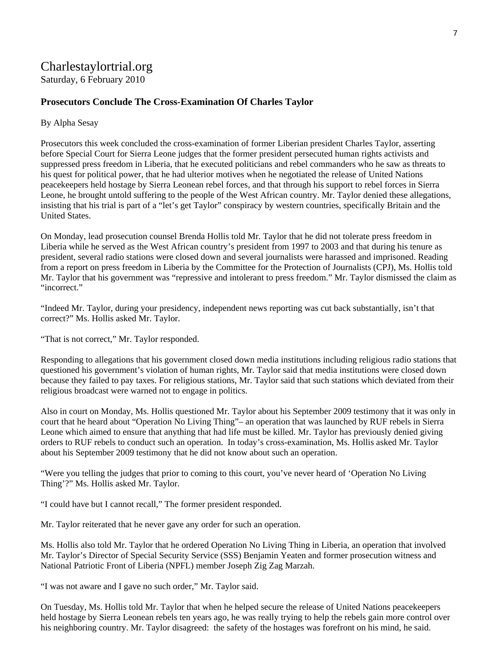# Charlestaylortrial.org

Saturday, 6 February 2010

## **Prosecutors Conclude The Cross-Examination Of Charles Taylor**

#### By Alpha Sesay

Prosecutors this week concluded the cross-examination of former Liberian president Charles Taylor, asserting before Special Court for Sierra Leone judges that the former president persecuted human rights activists and suppressed press freedom in Liberia, that he executed politicians and rebel commanders who he saw as threats to his quest for political power, that he had ulterior motives when he negotiated the release of United Nations peacekeepers held hostage by Sierra Leonean rebel forces, and that through his support to rebel forces in Sierra Leone, he brought untold suffering to the people of the West African country. Mr. Taylor denied these allegations, insisting that his trial is part of a "let's get Taylor" conspiracy by western countries, specifically Britain and the United States.

On Monday, lead prosecution counsel Brenda Hollis told Mr. Taylor that he did not tolerate press freedom in Liberia while he served as the West African country's president from 1997 to 2003 and that during his tenure as president, several radio stations were closed down and several journalists were harassed and imprisoned. Reading from a report on press freedom in Liberia by the Committee for the Protection of Journalists (CPJ), Ms. Hollis told Mr. Taylor that his government was "repressive and intolerant to press freedom." Mr. Taylor dismissed the claim as "incorrect."

"Indeed Mr. Taylor, during your presidency, independent news reporting was cut back substantially, isn't that correct?" Ms. Hollis asked Mr. Taylor.

"That is not correct," Mr. Taylor responded.

Responding to allegations that his government closed down media institutions including religious radio stations that questioned his government's violation of human rights, Mr. Taylor said that media institutions were closed down because they failed to pay taxes. For religious stations, Mr. Taylor said that such stations which deviated from their religious broadcast were warned not to engage in politics.

Also in court on Monday, Ms. Hollis questioned Mr. Taylor about his September 2009 testimony that it was only in court that he heard about "Operation No Living Thing"– an operation that was launched by RUF rebels in Sierra Leone which aimed to ensure that anything that had life must be killed. Mr. Taylor has previously denied giving orders to RUF rebels to conduct such an operation. In today's cross-examination, Ms. Hollis asked Mr. Taylor about his September 2009 testimony that he did not know about such an operation.

"Were you telling the judges that prior to coming to this court, you've never heard of 'Operation No Living Thing'?" Ms. Hollis asked Mr. Taylor.

"I could have but I cannot recall," The former president responded.

Mr. Taylor reiterated that he never gave any order for such an operation.

Ms. Hollis also told Mr. Taylor that he ordered Operation No Living Thing in Liberia, an operation that involved Mr. Taylor's Director of Special Security Service (SSS) Benjamin Yeaten and former prosecution witness and National Patriotic Front of Liberia (NPFL) member Joseph Zig Zag Marzah.

"I was not aware and I gave no such order," Mr. Taylor said.

On Tuesday, Ms. Hollis told Mr. Taylor that when he helped secure the release of United Nations peacekeepers held hostage by Sierra Leonean rebels ten years ago, he was really trying to help the rebels gain more control over his neighboring country. Mr. Taylor disagreed: the safety of the hostages was forefront on his mind, he said.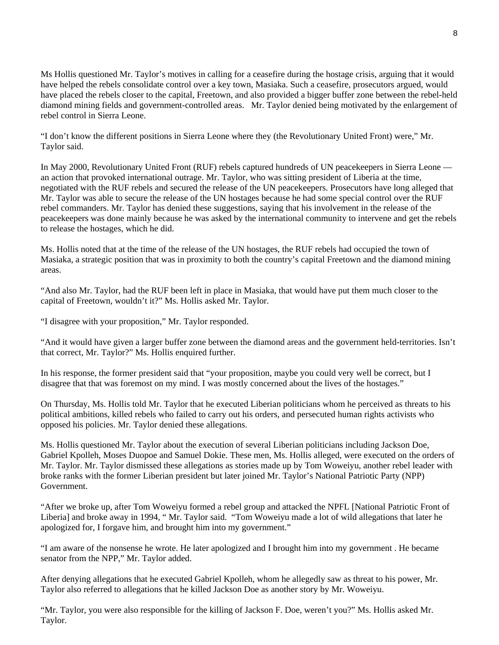Ms Hollis questioned Mr. Taylor's motives in calling for a ceasefire during the hostage crisis, arguing that it would have helped the rebels consolidate control over a key town, Masiaka. Such a ceasefire, prosecutors argued, would have placed the rebels closer to the capital, Freetown, and also provided a bigger buffer zone between the rebel-held diamond mining fields and government-controlled areas. Mr. Taylor denied being motivated by the enlargement of rebel control in Sierra Leone.

"I don't know the different positions in Sierra Leone where they (the Revolutionary United Front) were," Mr. Taylor said.

In May 2000, Revolutionary United Front (RUF) rebels captured hundreds of UN peacekeepers in Sierra Leone an action that provoked international outrage. Mr. Taylor, who was sitting president of Liberia at the time, negotiated with the RUF rebels and secured the release of the UN peacekeepers. Prosecutors have long alleged that Mr. Taylor was able to secure the release of the UN hostages because he had some special control over the RUF rebel commanders. Mr. Taylor has denied these suggestions, saying that his involvement in the release of the peacekeepers was done mainly because he was asked by the international community to intervene and get the rebels to release the hostages, which he did.

Ms. Hollis noted that at the time of the release of the UN hostages, the RUF rebels had occupied the town of Masiaka, a strategic position that was in proximity to both the country's capital Freetown and the diamond mining areas.

"And also Mr. Taylor, had the RUF been left in place in Masiaka, that would have put them much closer to the capital of Freetown, wouldn't it?" Ms. Hollis asked Mr. Taylor.

"I disagree with your proposition," Mr. Taylor responded.

"And it would have given a larger buffer zone between the diamond areas and the government held-territories. Isn't that correct, Mr. Taylor?" Ms. Hollis enquired further.

In his response, the former president said that "your proposition, maybe you could very well be correct, but I disagree that that was foremost on my mind. I was mostly concerned about the lives of the hostages."

On Thursday, Ms. Hollis told Mr. Taylor that he executed Liberian politicians whom he perceived as threats to his political ambitions, killed rebels who failed to carry out his orders, and persecuted human rights activists who opposed his policies. Mr. Taylor denied these allegations.

Ms. Hollis questioned Mr. Taylor about the execution of several Liberian politicians including Jackson Doe, Gabriel Kpolleh, Moses Duopoe and Samuel Dokie. These men, Ms. Hollis alleged, were executed on the orders of Mr. Taylor. Mr. Taylor dismissed these allegations as stories made up by Tom Woweiyu, another rebel leader with broke ranks with the former Liberian president but later joined Mr. Taylor's National Patriotic Party (NPP) Government.

"After we broke up, after Tom Woweiyu formed a rebel group and attacked the NPFL [National Patriotic Front of Liberia] and broke away in 1994, " Mr. Taylor said. "Tom Woweiyu made a lot of wild allegations that later he apologized for, I forgave him, and brought him into my government."

"I am aware of the nonsense he wrote. He later apologized and I brought him into my government . He became senator from the NPP," Mr. Taylor added.

After denying allegations that he executed Gabriel Kpolleh, whom he allegedly saw as threat to his power, Mr. Taylor also referred to allegations that he killed Jackson Doe as another story by Mr. Woweiyu.

"Mr. Taylor, you were also responsible for the killing of Jackson F. Doe, weren't you?" Ms. Hollis asked Mr. Taylor.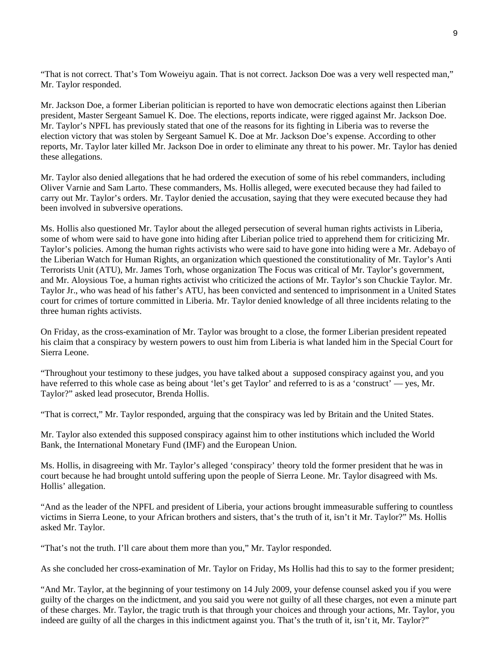"That is not correct. That's Tom Woweiyu again. That is not correct. Jackson Doe was a very well respected man," Mr. Taylor responded.

Mr. Jackson Doe, a former Liberian politician is reported to have won democratic elections against then Liberian president, Master Sergeant Samuel K. Doe. The elections, reports indicate, were rigged against Mr. Jackson Doe. Mr. Taylor's NPFL has previously stated that one of the reasons for its fighting in Liberia was to reverse the election victory that was stolen by Sergeant Samuel K. Doe at Mr. Jackson Doe's expense. According to other reports, Mr. Taylor later killed Mr. Jackson Doe in order to eliminate any threat to his power. Mr. Taylor has denied these allegations.

Mr. Taylor also denied allegations that he had ordered the execution of some of his rebel commanders, including Oliver Varnie and Sam Larto. These commanders, Ms. Hollis alleged, were executed because they had failed to carry out Mr. Taylor's orders. Mr. Taylor denied the accusation, saying that they were executed because they had been involved in subversive operations.

Ms. Hollis also questioned Mr. Taylor about the alleged persecution of several human rights activists in Liberia, some of whom were said to have gone into hiding after Liberian police tried to apprehend them for criticizing Mr. Taylor's policies. Among the human rights activists who were said to have gone into hiding were a Mr. Adebayo of the Liberian Watch for Human Rights, an organization which questioned the constitutionality of Mr. Taylor's Anti Terrorists Unit (ATU), Mr. James Torh, whose organization The Focus was critical of Mr. Taylor's government, and Mr. Aloysious Toe, a human rights activist who criticized the actions of Mr. Taylor's son Chuckie Taylor. Mr. Taylor Jr., who was head of his father's ATU, has been convicted and sentenced to imprisonment in a United States court for crimes of torture committed in Liberia. Mr. Taylor denied knowledge of all three incidents relating to the three human rights activists.

On Friday, as the cross-examination of Mr. Taylor was brought to a close, the former Liberian president repeated his claim that a conspiracy by western powers to oust him from Liberia is what landed him in the Special Court for Sierra Leone.

"Throughout your testimony to these judges, you have talked about a supposed conspiracy against you, and you have referred to this whole case as being about 'let's get Taylor' and referred to is as a 'construct' — yes, Mr. Taylor?" asked lead prosecutor, Brenda Hollis.

"That is correct," Mr. Taylor responded, arguing that the conspiracy was led by Britain and the United States.

Mr. Taylor also extended this supposed conspiracy against him to other institutions which included the World Bank, the International Monetary Fund (IMF) and the European Union.

Ms. Hollis, in disagreeing with Mr. Taylor's alleged 'conspiracy' theory told the former president that he was in court because he had brought untold suffering upon the people of Sierra Leone. Mr. Taylor disagreed with Ms. Hollis' allegation.

"And as the leader of the NPFL and president of Liberia, your actions brought immeasurable suffering to countless victims in Sierra Leone, to your African brothers and sisters, that's the truth of it, isn't it Mr. Taylor?" Ms. Hollis asked Mr. Taylor.

"That's not the truth. I'll care about them more than you," Mr. Taylor responded.

As she concluded her cross-examination of Mr. Taylor on Friday, Ms Hollis had this to say to the former president;

"And Mr. Taylor, at the beginning of your testimony on 14 July 2009, your defense counsel asked you if you were guilty of the charges on the indictment, and you said you were not guilty of all these charges, not even a minute part of these charges. Mr. Taylor, the tragic truth is that through your choices and through your actions, Mr. Taylor, you indeed are guilty of all the charges in this indictment against you. That's the truth of it, isn't it, Mr. Taylor?"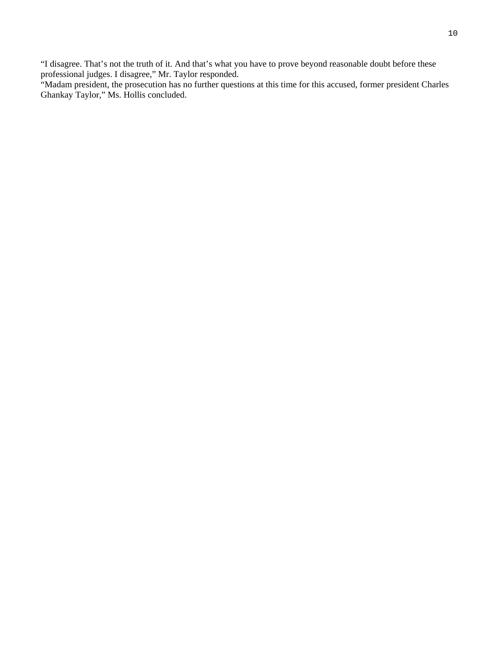"I disagree. That's not the truth of it. And that's what you have to prove beyond reasonable doubt before these professional judges. I disagree," Mr. Taylor responded.

"Madam president, the prosecution has no further questions at this time for this accused, former president Charles Ghankay Taylor," Ms. Hollis concluded.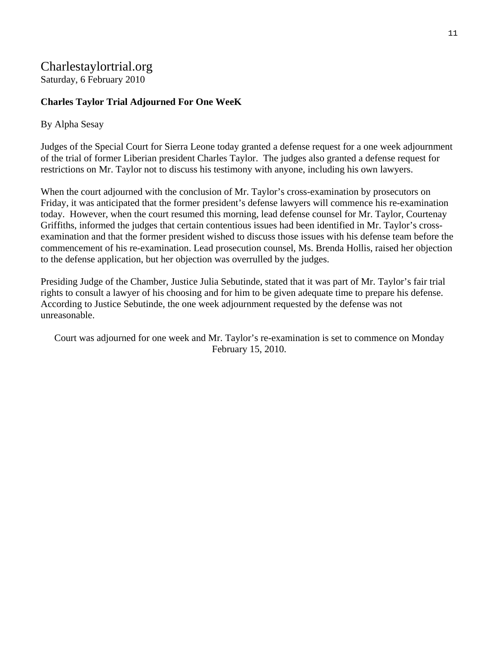## Charlestaylortrial.org

Saturday, 6 February 2010

## **Charles Taylor Trial Adjourned For One WeeK**

## By Alpha Sesay

Judges of the Special Court for Sierra Leone today granted a defense request for a one week adjournment of the trial of former Liberian president Charles Taylor. The judges also granted a defense request for restrictions on Mr. Taylor not to discuss his testimony with anyone, including his own lawyers.

When the court adjourned with the conclusion of Mr. Taylor's cross-examination by prosecutors on Friday, it was anticipated that the former president's defense lawyers will commence his re-examination today. However, when the court resumed this morning, lead defense counsel for Mr. Taylor, Courtenay Griffiths, informed the judges that certain contentious issues had been identified in Mr. Taylor's crossexamination and that the former president wished to discuss those issues with his defense team before the commencement of his re-examination. Lead prosecution counsel, Ms. Brenda Hollis, raised her objection to the defense application, but her objection was overrulled by the judges.

Presiding Judge of the Chamber, Justice Julia Sebutinde, stated that it was part of Mr. Taylor's fair trial rights to consult a lawyer of his choosing and for him to be given adequate time to prepare his defense. According to Justice Sebutinde, the one week adjournment requested by the defense was not unreasonable.

Court was adjourned for one week and Mr. Taylor's re-examination is set to commence on Monday February 15, 2010.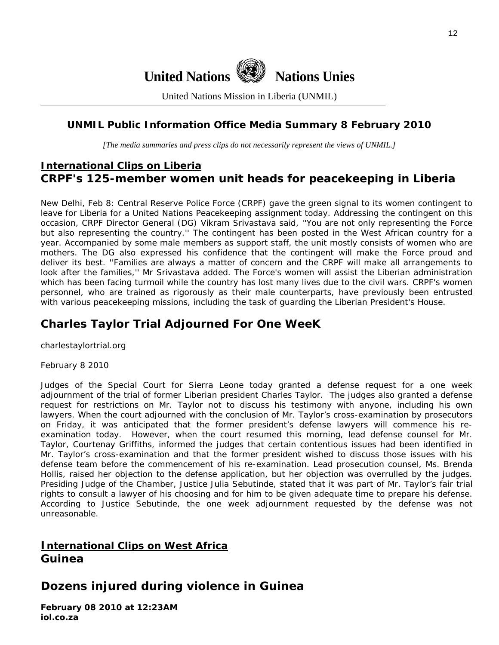![](_page_11_Picture_0.jpeg)

United Nations Mission in Liberia (UNMIL)

## **UNMIL Public Information Office Media Summary 8 February 2010**

*[The media summaries and press clips do not necessarily represent the views of UNMIL.]* 

## **International Clips on Liberia CRPF's 125-member women unit heads for peacekeeping in Liberia**

New Delhi, Feb 8: Central Reserve Police Force (CRPF) gave the green signal to its women contingent to leave for Liberia for a United Nations Peacekeeping assignment today. Addressing the contingent on this occasion, CRPF Director General (DG) Vikram Srivastava said, ''You are not only representing the Force but also representing the country.'' The contingent has been posted in the West African country for a year. Accompanied by some male members as support staff, the unit mostly consists of women who are mothers. The DG also expressed his confidence that the contingent will make the Force proud and deliver its best. ''Families are always a matter of concern and the CRPF will make all arrangements to look after the families,'' Mr Srivastava added. The Force's women will assist the Liberian administration which has been facing turmoil while the country has lost many lives due to the civil wars. CRPF's women personnel, who are trained as rigorously as their male counterparts, have previously been entrusted with various peacekeeping missions, including the task of guarding the Liberian President's House.

## **Charles Taylor Trial Adjourned For One WeeK**

charlestaylortrial.org

February 8 2010

*Judges of the Special Court for Sierra Leone today granted a defense request for a one week adjournment of the trial of former Liberian president Charles Taylor. The judges also granted a defense request for restrictions on Mr. Taylor not to discuss his testimony with anyone, including his own lawyers. When the court adjourned with the conclusion of Mr. Taylor's cross-examination by prosecutors on Friday, it was anticipated that the former president's defense lawyers will commence his reexamination today. However, when the court resumed this morning, lead defense counsel for Mr. Taylor, Courtenay Griffiths, informed the judges that certain contentious issues had been identified in Mr. Taylor's cross-examination and that the former president wished to discuss those issues with his defense team before the commencement of his re-examination. Lead prosecution counsel, Ms. Brenda Hollis, raised her objection to the defense application, but her objection was overrulled by the judges. Presiding Judge of the Chamber, Justice Julia Sebutinde, stated that it was part of Mr. Taylor's fair trial rights to consult a lawyer of his choosing and for him to be given adequate time to prepare his defense. According to Justice Sebutinde, the one week adjournment requested by the defense was not unreasonable.*

## **International Clips on West Africa Guinea**

## **Dozens injured during violence in Guinea**

**February 08 2010 at 12:23AM iol.co.za**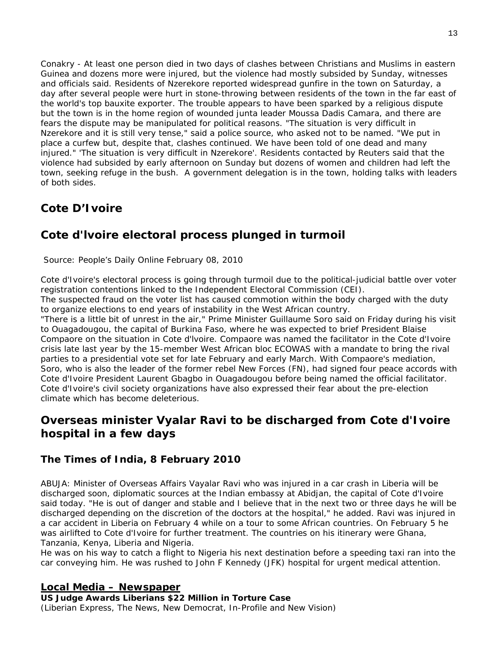Conakry - At least one person died in two days of clashes between Christians and Muslims in eastern Guinea and dozens more were injured, but the violence had mostly subsided by Sunday, witnesses and officials said. Residents of Nzerekore reported widespread gunfire in the town on Saturday, a day after several people were hurt in stone-throwing between residents of the town in the far east of the world's top bauxite exporter. The trouble appears to have been sparked by a religious dispute but the town is in the home region of wounded junta leader Moussa Dadis Camara, and there are fears the dispute may be manipulated for political reasons. "The situation is very difficult in Nzerekore and it is still very tense," said a police source, who asked not to be named. "We put in place a curfew but, despite that, clashes continued. We have been told of one dead and many injured." 'The situation is very difficult in Nzerekore'. Residents contacted by Reuters said that the violence had subsided by early afternoon on Sunday but dozens of women and children had left the town, seeking refuge in the bush. A government delegation is in the town, holding talks with leaders of both sides.

## **Cote D'Ivoire**

## **Cote d'lvoire electoral process plunged in turmoil**

Source: People's Daily Online February 08, 2010

Cote d'Ivoire's electoral process is going through turmoil due to the political-judicial battle over voter registration contentions linked to the Independent Electoral Commission (CEI).

The suspected fraud on the voter list has caused commotion within the body charged with the duty to organize elections to end years of instability in the West African country.

"There is a little bit of unrest in the air," Prime Minister Guillaume Soro said on Friday during his visit to Ouagadougou, the capital of Burkina Faso, where he was expected to brief President Blaise Compaore on the situation in Cote d'lvoire. Compaore was named the facilitator in the Cote d'Ivoire crisis late last year by the 15-member West African bloc ECOWAS with a mandate to bring the rival parties to a presidential vote set for late February and early March. With Compaore's mediation, Soro, who is also the leader of the former rebel New Forces (FN), had signed four peace accords with Cote d'Ivoire President Laurent Gbagbo in Ouagadougou before being named the official facilitator. Cote d'Ivoire's civil society organizations have also expressed their fear about the pre-election climate which has become deleterious.

## **Overseas minister Vyalar Ravi to be discharged from Cote d'Ivoire hospital in a few days**

## **The Times of India, 8 February 2010**

ABUJA: Minister of Overseas Affairs Vayalar Ravi who was injured in a car crash in Liberia will be discharged soon, diplomatic sources at the Indian embassy at Abidjan, the capital of Cote d'Ivoire said today. "He is out of danger and stable and I believe that in the next two or three days he will be discharged depending on the discretion of the doctors at the hospital," he added. Ravi was injured in a car accident in Liberia on February 4 while on a tour to some African countries. On February 5 he was airlifted to Cote d'Ivoire for further treatment. The countries on his itinerary were Ghana, Tanzania, Kenya, Liberia and Nigeria.

He was on his way to catch a flight to Nigeria his next destination before a speeding taxi ran into the car conveying him. He was rushed to John F Kennedy (JFK) hospital for urgent medical attention.

## **Local Media – Newspaper**

**US Judge Awards Liberians \$22 Million in Torture Case**  (Liberian Express, The News, New Democrat, In-Profile and New Vision)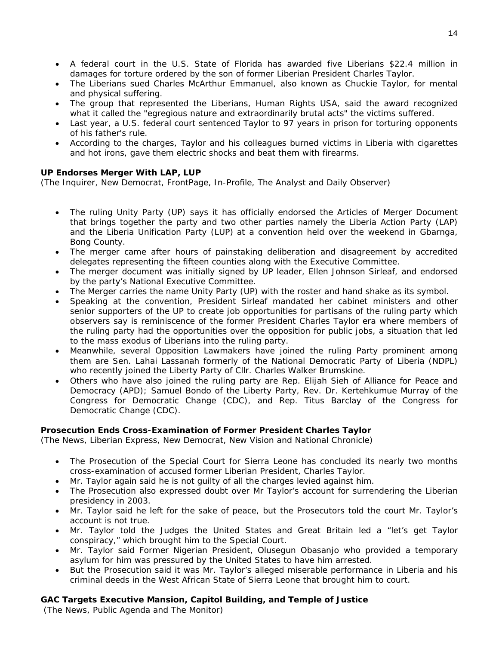- A federal court in the U.S. State of Florida has awarded five Liberians \$22.4 million in damages for torture ordered by the son of former Liberian President Charles Taylor.
- The Liberians sued Charles McArthur Emmanuel, also known as Chuckie Taylor, for mental and physical suffering.
- The group that represented the Liberians, Human Rights USA, said the award recognized what it called the "egregious nature and extraordinarily brutal acts" the victims suffered.
- Last year, a U.S. federal court sentenced Taylor to 97 years in prison for torturing opponents of his father's rule.
- According to the charges, Taylor and his colleagues burned victims in Liberia with cigarettes and hot irons, gave them electric shocks and beat them with firearms.

#### **UP Endorses Merger With LAP, LUP**

(The Inquirer, New Democrat, FrontPage, In-Profile, The Analyst and Daily Observer)

- The ruling Unity Party (UP) says it has officially endorsed the Articles of Merger Document that brings together the party and two other parties namely the Liberia Action Party (LAP) and the Liberia Unification Party (LUP) at a convention held over the weekend in Gbarnga, Bong County.
- The merger came after hours of painstaking deliberation and disagreement by accredited delegates representing the fifteen counties along with the Executive Committee.
- The merger document was initially signed by UP leader, Ellen Johnson Sirleaf, and endorsed by the party's National Executive Committee.
- The Merger carries the name Unity Party (UP) with the roster and hand shake as its symbol.
- Speaking at the convention, President Sirleaf mandated her cabinet ministers and other senior supporters of the UP to create job opportunities for partisans of the ruling party which observers say is reminiscence of the former President Charles Taylor era where members of the ruling party had the opportunities over the opposition for public jobs, a situation that led to the mass exodus of Liberians into the ruling party.
- Meanwhile, several Opposition Lawmakers have joined the ruling Party prominent among them are Sen. Lahai Lassanah formerly of the National Democratic Party of Liberia (NDPL) who recently joined the Liberty Party of Cllr. Charles Walker Brumskine.
- Others who have also joined the ruling party are Rep. Elijah Sieh of Alliance for Peace and Democracy (APD); Samuel Bondo of the Liberty Party, Rev. Dr. Kertehkumue Murray of the Congress for Democratic Change (CDC), and Rep. Titus Barclay of the Congress for Democratic Change (CDC).

#### **Prosecution Ends Cross-Examination of Former President Charles Taylor**

(The News, Liberian Express, New Democrat, New Vision and National Chronicle)

- The Prosecution of the Special Court for Sierra Leone has concluded its nearly two months cross-examination of accused former Liberian President, Charles Taylor.
- Mr. Taylor again said he is not guilty of all the charges levied against him.
- The Prosecution also expressed doubt over Mr Taylor's account for surrendering the Liberian presidency in 2003.
- Mr. Taylor said he left for the sake of peace, but the Prosecutors told the court Mr. Taylor's account is not true.
- Mr. Taylor told the Judges the United States and Great Britain led a "let's get Taylor conspiracy," which brought him to the Special Court.
- Mr. Taylor said Former Nigerian President, Olusegun Obasanjo who provided a temporary asylum for him was pressured by the United States to have him arrested.
- But the Prosecution said it was Mr. Taylor's alleged miserable performance in Liberia and his criminal deeds in the West African State of Sierra Leone that brought him to court.

## **GAC Targets Executive Mansion, Capitol Building, and Temple of Justice**

(The News, Public Agenda and The Monitor)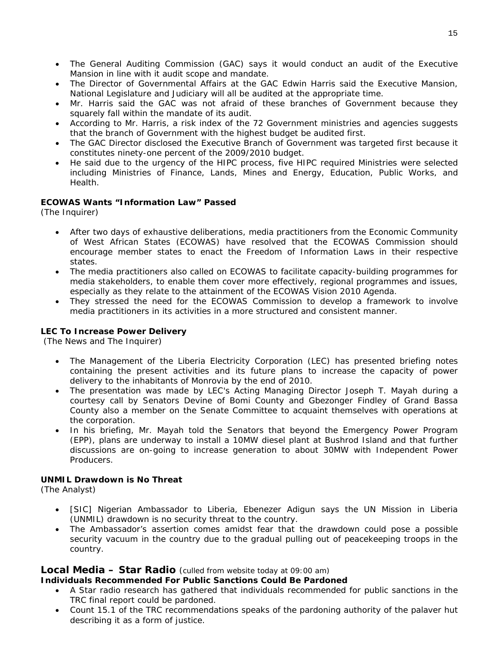- The General Auditing Commission (GAC) says it would conduct an audit of the Executive Mansion in line with it audit scope and mandate.
- The Director of Governmental Affairs at the GAC Edwin Harris said the Executive Mansion, National Legislature and Judiciary will all be audited at the appropriate time.
- Mr. Harris said the GAC was not afraid of these branches of Government because they squarely fall within the mandate of its audit.
- According to Mr. Harris, a risk index of the 72 Government ministries and agencies suggests that the branch of Government with the highest budget be audited first.
- The GAC Director disclosed the Executive Branch of Government was targeted first because it constitutes ninety-one percent of the 2009/2010 budget.
- He said due to the urgency of the HIPC process, five HIPC required Ministries were selected including Ministries of Finance, Lands, Mines and Energy, Education, Public Works, and Health.

## **ECOWAS Wants "Information Law" Passed**

(The Inquirer)

- After two days of exhaustive deliberations, media practitioners from the Economic Community of West African States (ECOWAS) have resolved that the ECOWAS Commission should encourage member states to enact the Freedom of Information Laws in their respective states.
- The media practitioners also called on ECOWAS to facilitate capacity-building programmes for media stakeholders, to enable them cover more effectively, regional programmes and issues, especially as they relate to the attainment of the ECOWAS Vision 2010 Agenda.
- They stressed the need for the ECOWAS Commission to develop a framework to involve media practitioners in its activities in a more structured and consistent manner.

#### **LEC To Increase Power Delivery**

(The News and The Inquirer)

- The Management of the Liberia Electricity Corporation (LEC) has presented briefing notes containing the present activities and its future plans to increase the capacity of power delivery to the inhabitants of Monrovia by the end of 2010.
- The presentation was made by LEC's Acting Managing Director Joseph T. Mayah during a courtesy call by Senators Devine of Bomi County and Gbezonger Findley of Grand Bassa County also a member on the Senate Committee to acquaint themselves with operations at the corporation.
- In his briefing, Mr. Mayah told the Senators that beyond the Emergency Power Program (EPP), plans are underway to install a 10MW diesel plant at Bushrod Island and that further discussions are on-going to increase generation to about 30MW with Independent Power Producers.

#### **UNMIL Drawdown is No Threat**

(The Analyst)

- [SIC] Nigerian Ambassador to Liberia, Ebenezer Adigun says the UN Mission in Liberia (UNMIL) drawdown is no security threat to the country.
- The Ambassador's assertion comes amidst fear that the drawdown could pose a possible security vacuum in the country due to the gradual pulling out of peacekeeping troops in the country.

## **Local Media – Star Radio** *(culled from website today at 09:00 am)*

#### **Individuals Recommended For Public Sanctions Could Be Pardoned**

- A Star radio research has gathered that individuals recommended for public sanctions in the TRC final report could be pardoned.
- Count 15.1 of the TRC recommendations speaks of the pardoning authority of the palaver hut describing it as a form of justice.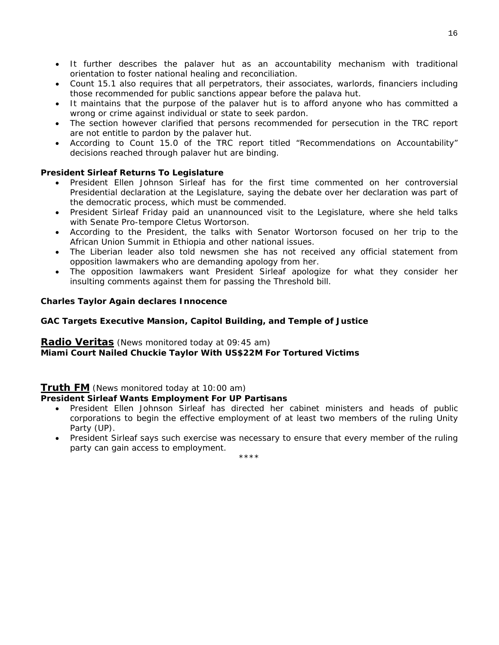- It further describes the palaver hut as an accountability mechanism with traditional orientation to foster national healing and reconciliation.
- Count 15.1 also requires that all perpetrators, their associates, warlords, financiers including those recommended for public sanctions appear before the palava hut.
- It maintains that the purpose of the palaver hut is to afford anyone who has committed a wrong or crime against individual or state to seek pardon.
- The section however clarified that persons recommended for persecution in the TRC report are not entitle to pardon by the palaver hut.
- According to Count 15.0 of the TRC report titled "Recommendations on Accountability" decisions reached through palaver hut are binding.

#### **President Sirleaf Returns To Legislature**

- President Ellen Johnson Sirleaf has for the first time commented on her controversial Presidential declaration at the Legislature, saying the debate over her declaration was part of the democratic process, which must be commended.
- President Sirleaf Friday paid an unannounced visit to the Legislature, where she held talks with Senate Pro-tempore Cletus Wortorson.
- According to the President, the talks with Senator Wortorson focused on her trip to the African Union Summit in Ethiopia and other national issues.
- The Liberian leader also told newsmen she has not received any official statement from opposition lawmakers who are demanding apology from her.
- The opposition lawmakers want President Sirleaf apologize for what they consider her insulting comments against them for passing the Threshold bill.

#### **Charles Taylor Again declares Innocence**

#### **GAC Targets Executive Mansion, Capitol Building, and Temple of Justice**

## **Radio Veritas** *(News monitored today at 09:45 am)* **Miami Court Nailed Chuckie Taylor With US\$22M For Tortured Victims**

## **Truth FM** *(News monitored today at 10:00 am)*

#### **President Sirleaf Wants Employment For UP Partisans**

- President Ellen Johnson Sirleaf has directed her cabinet ministers and heads of public corporations to begin the effective employment of at least two members of the ruling Unity Party (UP).
- President Sirleaf says such exercise was necessary to ensure that every member of the ruling party can gain access to employment.

\*\*\*\*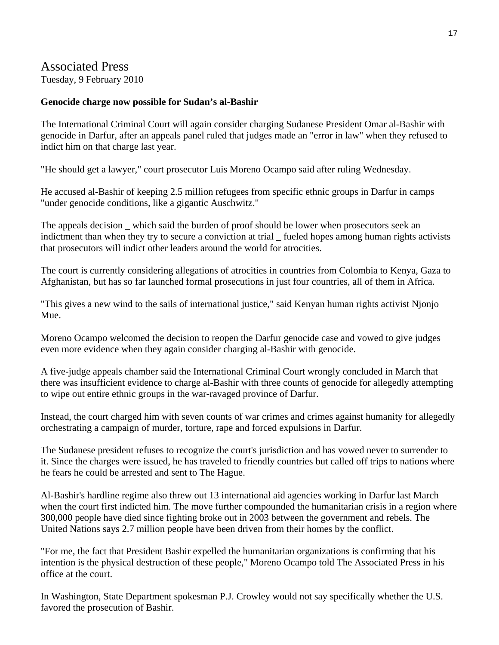## Associated Press

Tuesday, 9 February 2010

## **Genocide charge now possible for Sudan's al-Bashir**

The International Criminal Court will again consider charging Sudanese President Omar al-Bashir with genocide in Darfur, after an appeals panel ruled that judges made an "error in law" when they refused to indict him on that charge last year.

"He should get a lawyer," court prosecutor Luis Moreno Ocampo said after ruling Wednesday.

He accused al-Bashir of keeping 2.5 million refugees from specific ethnic groups in Darfur in camps "under genocide conditions, like a gigantic Auschwitz."

The appeals decision which said the burden of proof should be lower when prosecutors seek an indictment than when they try to secure a conviction at trial \_ fueled hopes among human rights activists that prosecutors will indict other leaders around the world for atrocities.

The court is currently considering allegations of atrocities in countries from Colombia to Kenya, Gaza to Afghanistan, but has so far launched formal prosecutions in just four countries, all of them in Africa.

"This gives a new wind to the sails of international justice," said Kenyan human rights activist Njonjo Mue.

Moreno Ocampo welcomed the decision to reopen the Darfur genocide case and vowed to give judges even more evidence when they again consider charging al-Bashir with genocide.

A five-judge appeals chamber said the International Criminal Court wrongly concluded in March that there was insufficient evidence to charge al-Bashir with three counts of genocide for allegedly attempting to wipe out entire ethnic groups in the war-ravaged province of Darfur.

Instead, the court charged him with seven counts of war crimes and crimes against humanity for allegedly orchestrating a campaign of murder, torture, rape and forced expulsions in Darfur.

The Sudanese president refuses to recognize the court's jurisdiction and has vowed never to surrender to it. Since the charges were issued, he has traveled to friendly countries but called off trips to nations where he fears he could be arrested and sent to The Hague.

Al-Bashir's hardline regime also threw out 13 international aid agencies working in Darfur last March when the court first indicted him. The move further compounded the humanitarian crisis in a region where 300,000 people have died since fighting broke out in 2003 between the government and rebels. The United Nations says 2.7 million people have been driven from their homes by the conflict.

"For me, the fact that President Bashir expelled the humanitarian organizations is confirming that his intention is the physical destruction of these people," Moreno Ocampo told The Associated Press in his office at the court.

In Washington, State Department spokesman P.J. Crowley would not say specifically whether the U.S. favored the prosecution of Bashir.